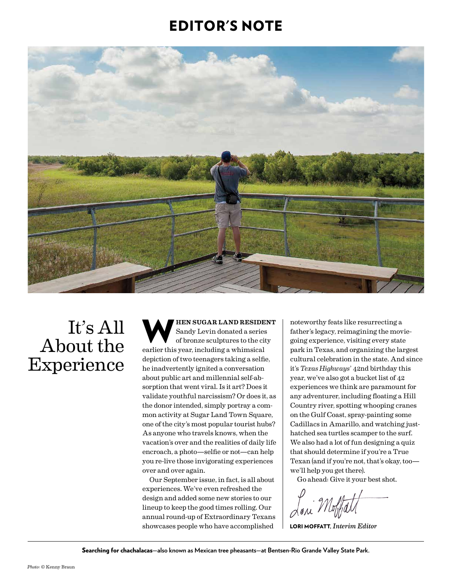### EDITOR'S NOTE



# It's All About the Experience

WHEN SUGAR LAND RESIDENT<br>
Sandy Levin donated a series<br>
of bronze sculptures to the city<br>
consider this was including a whimsical Sandy Levin donated a series earlier this year, including a whimsical depiction of two teenagers taking a selfie, he inadvertently ignited a conversation about public art and millennial self-absorption that went viral. Is it art? Does it validate youthful narcissism? Or does it, as the donor intended, simply portray a common activity at Sugar Land Town Square, one of the city's most popular tourist hubs? As anyone who travels knows, when the vacation's over and the realities of daily life encroach, a photo—selfie or not—can help you re-live those invigorating experiences over and over again.

Our September issue, in fact, is all about experiences. We've even refreshed the design and added some new stories to our lineup to keep the good times rolling. Our annual round-up of Extraordinary Texans showcases people who have accomplished

noteworthy feats like resurrecting a father's legacy, reimagining the moviegoing experience, visiting every state park in Texas, and organizing the largest cultural celebration in the state. And since it's *Texas Highways*' 42nd birthday this year, we've also got a bucket list of 42 experiences we think are paramount for any adventurer, including floating a Hill Country river, spotting whooping cranes on the Gulf Coast, spray-painting some Cadillacs in Amarillo, and watching justhatched sea turtles scamper to the surf. We also had a lot of fun designing a quiz that should determine if you're a True Texan (and if you're not, that's okay, too we'll help you get there).

Go ahead: Give it your best shot.

LORI MOFFATT, *Interim Editor*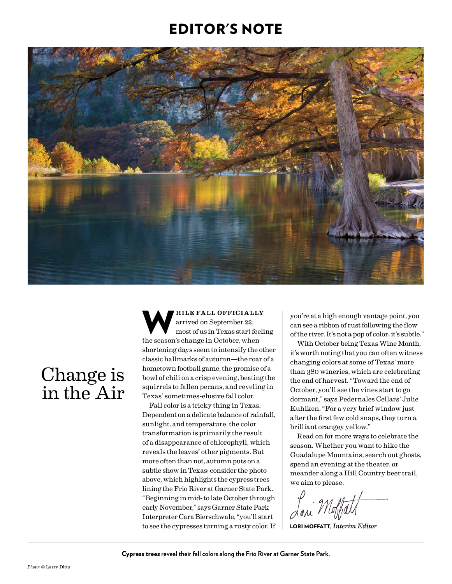### EDITOR'S NOTE



# Change is in the Air

WHILE FALL OFFICIALLY<br>
arrived on September 22,<br>
most of us in Texas start feeling<br>
the season's change in Ostober when arrived on September 22, the season's change in October, when shortening days seem to intensify the other classic hallmarks of autumn—the roar of a hometown football game, the promise of a bowl of chili on a crisp evening, beating the squirrels to fallen pecans, and reveling in Texas' sometimes-elusive fall color.

Fall color is a tricky thing in Texas. Dependent on a delicate balance of rainfall, sunlight, and temperature, the color transformation is primarily the result of a disappearance of chlorophyll, which reveals the leaves' other pigments. But more often than not, autumn puts on a subtle show in Texas; consider the photo above, which highlights the cypress trees lining the Frio River at Garner State Park. "Beginning in mid- to late October through early November," says Garner State Park Interpreter Cara Bierschwale, "you'll start to see the cypresses turning a rusty color. If you're at a high enough vantage point, you can see a ribbon of rust following the flow of the river. It's not a pop of color; it's subtle."

With October being Texas Wine Month, it's worth noting that you can often witness changing colors at some of Texas' more than 380 wineries, which are celebrating the end of harvest. "Toward the end of October, you'll see the vines start to go dormant," says Pedernales Cellars' Julie Kuhlken. "For a very brief window just after the first few cold snaps, they turn a brilliant orangey yellow."

Read on for more ways to celebrate the season. Whether you want to hike the Guadalupe Mountains, search out ghosts, spend an evening at the theater, or meander along a Hill Country beer trail, we aim to please.

LORI MOFFATT, *Interim Editor*